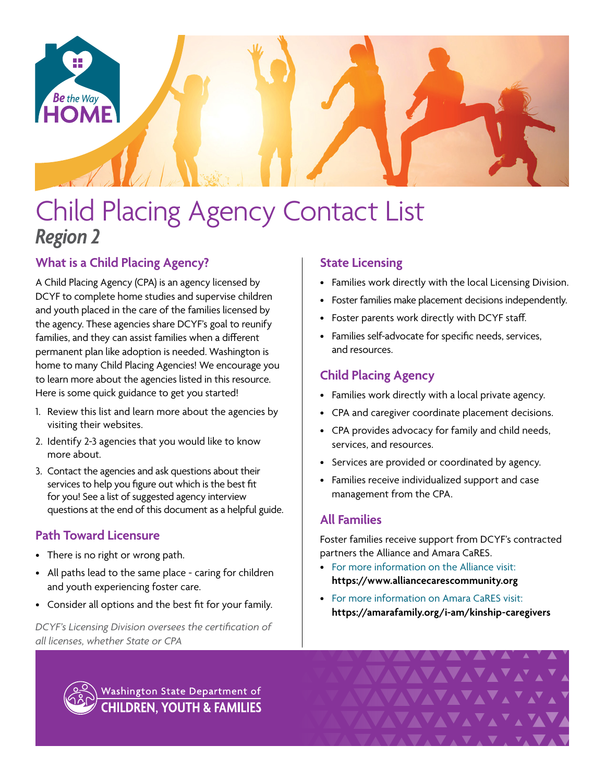

# Child Placing Agency Contact List *Region 2*

# **What is a Child Placing Agency?**

A Child Placing Agency (CPA) is an agency licensed by DCYF to complete home studies and supervise children and youth placed in the care of the families licensed by the agency. These agencies share DCYF's goal to reunify families, and they can assist families when a different permanent plan like adoption is needed. Washington is home to many Child Placing Agencies! We encourage you to learn more about the agencies listed in this resource. Here is some quick guidance to get you started!

- 1. Review this list and learn more about the agencies by visiting their websites.
- 2. Identify 2-3 agencies that you would like to know more about.
- 3. Contact the agencies and ask questions about their services to help you figure out which is the best fit for you! See a list of suggested agency interview questions at the end of this document as a helpful guide.

# **Path Toward Licensure**

- There is no right or wrong path.
- All paths lead to the same place caring for children and youth experiencing foster care.
- Consider all options and the best fit for your family.

*DCYF's Licensing Division oversees the certification of all licenses, whether State or CPA*

## **State Licensing**

- Families work directly with the local Licensing Division.
- Foster families make placement decisions independently.
- Foster parents work directly with DCYF staff.
- Families self-advocate for specific needs, services, and resources.

## **Child Placing Agency**

- Families work directly with a local private agency.
- CPA and caregiver coordinate placement decisions.
- CPA provides advocacy for family and child needs, services, and resources.
- Services are provided or coordinated by agency.
- Families receive individualized support and case management from the CPA.

## **All Families**

Foster families receive support from DCYF's contracted partners the Alliance and Amara CaRES.

- For more information on the Alliance visit: **<https://www.alliancecarescommunity.org>**
- For more information on Amara CaRES visit: **[https://amarafamily.org/i-am/kinship-caregivers](https://amarafamily.org/i-am/kinship-caregivers/)**

VAVAVAV



Washington State Department of **CHILDREN, YOUTH & FAMILIES**